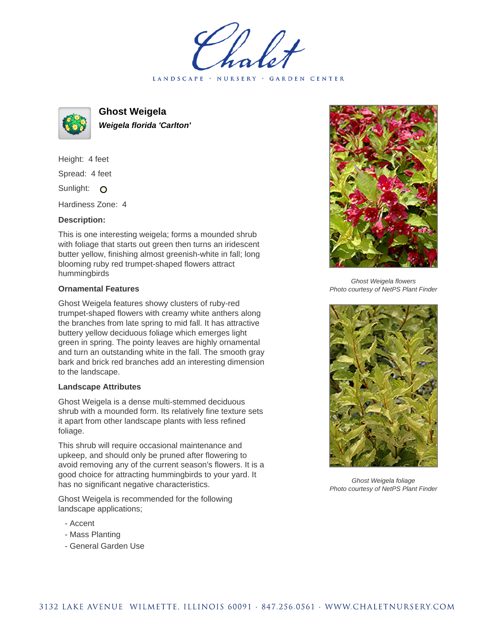LANDSCAPE · NURSERY · GARDEN CENTER



**Ghost Weigela Weigela florida 'Carlton'**

Height: 4 feet Spread: 4 feet Sunlight: O

Hardiness Zone: 4

## **Description:**

This is one interesting weigela; forms a mounded shrub with foliage that starts out green then turns an iridescent butter yellow, finishing almost greenish-white in fall; long blooming ruby red trumpet-shaped flowers attract hummingbirds

## **Ornamental Features**

Ghost Weigela features showy clusters of ruby-red trumpet-shaped flowers with creamy white anthers along the branches from late spring to mid fall. It has attractive buttery yellow deciduous foliage which emerges light green in spring. The pointy leaves are highly ornamental and turn an outstanding white in the fall. The smooth gray bark and brick red branches add an interesting dimension to the landscape.

## **Landscape Attributes**

Ghost Weigela is a dense multi-stemmed deciduous shrub with a mounded form. Its relatively fine texture sets it apart from other landscape plants with less refined foliage.

This shrub will require occasional maintenance and upkeep, and should only be pruned after flowering to avoid removing any of the current season's flowers. It is a good choice for attracting hummingbirds to your yard. It has no significant negative characteristics.

Ghost Weigela is recommended for the following landscape applications;

- Accent
- Mass Planting
- General Garden Use



Ghost Weigela flowers Photo courtesy of NetPS Plant Finder



Ghost Weigela foliage Photo courtesy of NetPS Plant Finder